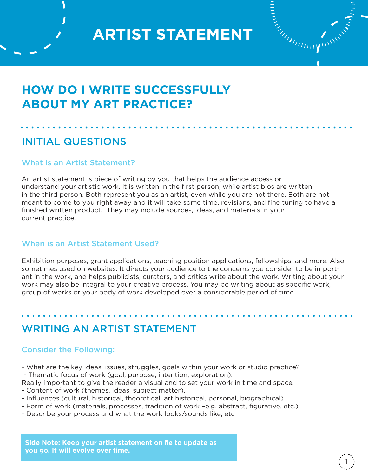

## **HOW DO I WRITE SUCCESSFULLY ABOUT MY ART PRACTICE?**

### INITIAL QUESTIONS

#### What is an Artist Statement?

An artist statement is piece of writing by you that helps the audience access or understand your artistic work. It is written in the first person, while artist bios are written in the third person. Both represent you as an artist, even while you are not there. Both are not meant to come to you right away and it will take some time, revisions, and fine tuning to have a finished written product. They may include sources, ideas, and materials in your current practice.

#### When is an Artist Statement Used?

Exhibition purposes, grant applications, teaching position applications, fellowships, and more. Also sometimes used on websites. It directs your audience to the concerns you consider to be important in the work, and helps publicists, curators, and critics write about the work. Writing about your work may also be integral to your creative process. You may be writing about as specific work, group of works or your body of work developed over a considerable period of time.

### WRITING AN ARTIST STATEMENT

#### Consider the Following:

- What are the key ideas, issues, struggles, goals within your work or studio practice? - Thematic focus of work (goal, purpose, intention, exploration).
- Really important to give the reader a visual and to set your work in time and space.
- Content of work (themes, ideas, subject matter).
- Influences (cultural, historical, theoretical, art historical, personal, biographical)
- Form of work (materials, processes, tradition of work –e.g. abstract, figurative, etc.)
- Describe your process and what the work looks/sounds like, etc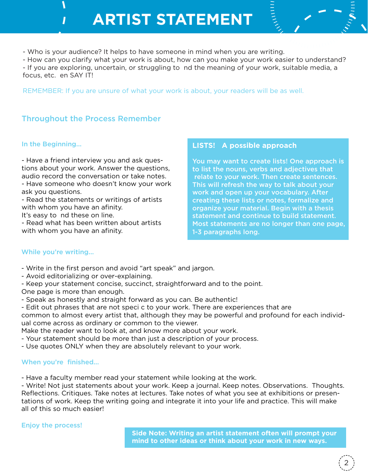- Who is your audience? It helps to have someone in mind when you are writing.

- How can you clarify what your work is about, how can you make your work easier to understand? - If you are exploring, uncertain, or struggling to nd the meaning of your work, suitable media, a focus, etc. en SAY IT!

REMEMBER: If you are unsure of what your work is about, your readers will be as well.

#### Throughout the Process Remember

#### In the Beginning...

- Have a friend interview you and ask questions about your work. Answer the questions, audio record the conversation or take notes. - Have someone who doesn't know your work

ask you questions. - Read the statements or writings of artists

with whom you have an afinity.

It's easy to nd these on line.

- Read what has been written about artists with whom you have an afinity.

#### **LISTS! A possible approach**

You may want to create lists! One approach is to list the nouns, verbs and adjectives that relate to your work. Then create sentences. This will refresh the way to talk about your work and open up your vocabulary. After creating these lists or notes, formalize and organize your material. Begin with a thesis statement and continue to build statement. Most statements are no longer than one page, 1-3 paragraphs long.

#### While you're writing...

- Write in the first person and avoid "art speak" and jargon.
- Avoid editorializing or over-explaining.

- Keep your statement concise, succinct, straightforward and to the point. One page is more than enough.

- Speak as honestly and straight forward as you can. Be authentic!

- Edit out phrases that are not speci c to your work. There are experiences that are common to almost every artist that, although they may be powerful and profound for each individual come across as ordinary or common to the viewer.

Make the reader want to look at, and know more about your work.

- Your statement should be more than just a description of your process.
- Use quotes ONLY when they are absolutely relevant to your work.

#### When you're finished...

- Have a faculty member read your statement while looking at the work.

- Write! Not just statements about your work. Keep a journal. Keep notes. Observations. Thoughts. Reflections. Critiques. Take notes at lectures. Take notes of what you see at exhibitions or presentations of work. Keep the writing going and integrate it into your life and practice. This will make all of this so much easier!

Enjoy the process!

**Side Note: Writing an artist statement often will prompt your mind to other ideas or think about your work in new ways.**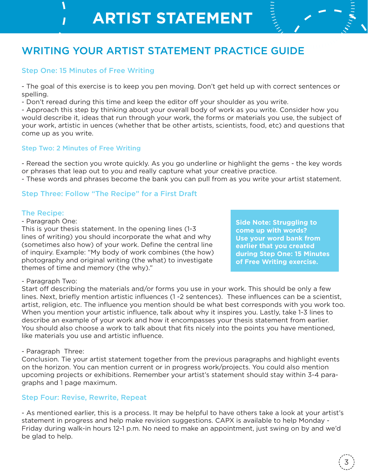## WRITING YOUR ARTIST STATEMENT PRACTICE GUIDE

#### Step One: 15 Minutes of Free Writing

- The goal of this exercise is to keep you pen moving. Don't get held up with correct sentences or spelling.

- Don't reread during this time and keep the editor off your shoulder as you write.

- Approach this step by thinking about your overall body of work as you write. Consider how you would describe it, ideas that run through your work, the forms or materials you use, the subject of your work, artistic in uences (whether that be other artists, scientists, food, etc) and questions that come up as you write.

#### Step Two: 2 Minutes of Free Writing

- Reread the section you wrote quickly. As you go underline or highlight the gems - the key words or phrases that leap out to you and really capture what your creative practice. - These words and phrases become the bank you can pull from as you write your artist statement.

#### Step Three: Follow "The Recipe" for a First Draft

#### The Recipe:

- Paragraph One:

This is your thesis statement. In the opening lines (1-3 lines of writing) you should incorporate the what and why (sometimes also how) of your work. Define the central line of inquiry. Example: "My body of work combines (the how) photography and original writing (the what) to investigate themes of time and memory (the why)."

**Side Note: Struggling to come up with words? Use your word bank from earlier that you created during Step One: 15 Minutes of Free Writing exercise.**

#### - Paragraph Two:

Start off describing the materials and/or forms you use in your work. This should be only a few lines. Next, briefly mention artistic influences (1 -2 sentences). These influences can be a scientist, artist, religion, etc. The influence you mention should be what best corresponds with you work too. When you mention your artistic influence, talk about why it inspires you. Lastly, take 1-3 lines to describe an example of your work and how it encompasses your thesis statement from earlier. You should also choose a work to talk about that fits nicely into the points you have mentioned, like materials you use and artistic influence.

#### - Paragraph Three:

Conclusion. Tie your artist statement together from the previous paragraphs and highlight events on the horizon. You can mention current or in progress work/projects. You could also mention upcoming projects or exhibitions. Remember your artist's statement should stay within 3-4 paragraphs and 1 page maximum.

#### Step Four: Revise, Rewrite, Repeat

- As mentioned earlier, this is a process. It may be helpful to have others take a look at your artist's statement in progress and help make revision suggestions. CAPX is available to help Monday - Friday during walk-in hours 12-1 p.m. No need to make an appointment, just swing on by and we'd be glad to help.